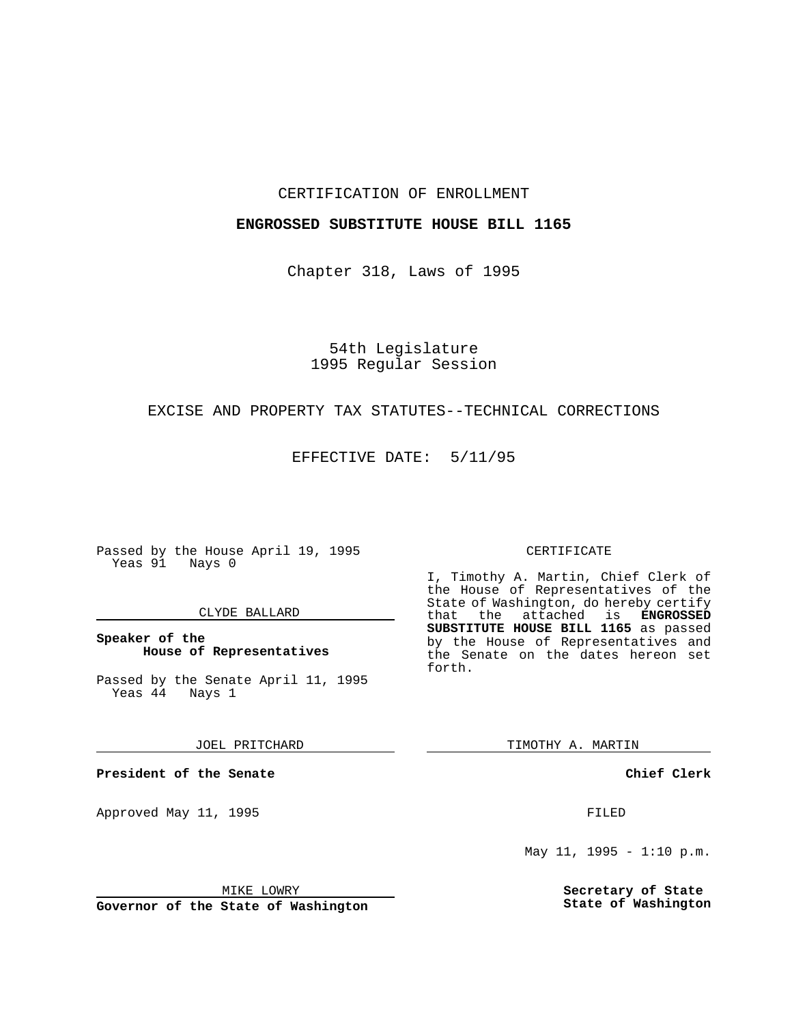### CERTIFICATION OF ENROLLMENT

### **ENGROSSED SUBSTITUTE HOUSE BILL 1165**

Chapter 318, Laws of 1995

# 54th Legislature 1995 Regular Session

## EXCISE AND PROPERTY TAX STATUTES--TECHNICAL CORRECTIONS

EFFECTIVE DATE: 5/11/95

Passed by the House April 19, 1995 Yeas 91 Nays 0

### CLYDE BALLARD

### **Speaker of the House of Representatives**

Passed by the Senate April 11, 1995<br>Yeas 44 Nays 1  $Yeas$  44

### JOEL PRITCHARD

**President of the Senate**

Approved May 11, 1995 FILED

MIKE LOWRY

**Governor of the State of Washington**

#### CERTIFICATE

I, Timothy A. Martin, Chief Clerk of the House of Representatives of the State of Washington, do hereby certify<br>that the attached is **ENGROSSED** the attached is **ENGROSSED SUBSTITUTE HOUSE BILL 1165** as passed by the House of Representatives and the Senate on the dates hereon set forth.

TIMOTHY A. MARTIN

**Chief Clerk**

May 11, 1995 -  $1:10$  p.m.

**Secretary of State State of Washington**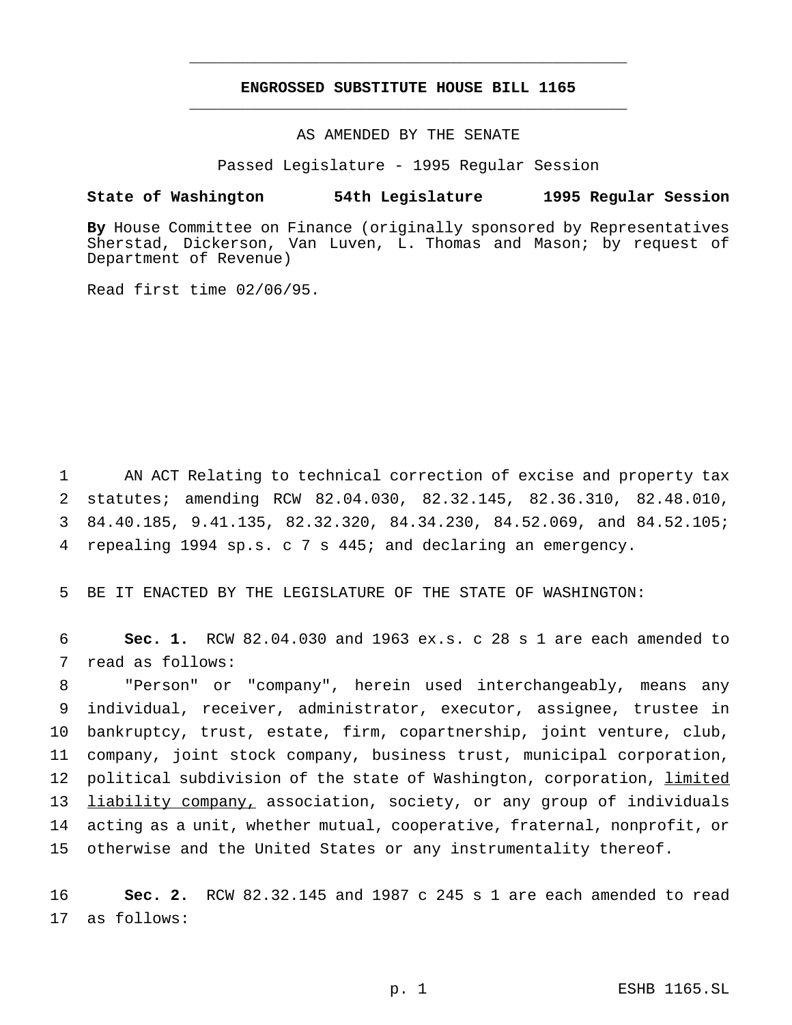# **ENGROSSED SUBSTITUTE HOUSE BILL 1165** \_\_\_\_\_\_\_\_\_\_\_\_\_\_\_\_\_\_\_\_\_\_\_\_\_\_\_\_\_\_\_\_\_\_\_\_\_\_\_\_\_\_\_\_\_\_\_

\_\_\_\_\_\_\_\_\_\_\_\_\_\_\_\_\_\_\_\_\_\_\_\_\_\_\_\_\_\_\_\_\_\_\_\_\_\_\_\_\_\_\_\_\_\_\_

AS AMENDED BY THE SENATE

Passed Legislature - 1995 Regular Session

### **State of Washington 54th Legislature 1995 Regular Session**

**By** House Committee on Finance (originally sponsored by Representatives Sherstad, Dickerson, Van Luven, L. Thomas and Mason; by request of Department of Revenue)

Read first time 02/06/95.

 AN ACT Relating to technical correction of excise and property tax statutes; amending RCW 82.04.030, 82.32.145, 82.36.310, 82.48.010, 84.40.185, 9.41.135, 82.32.320, 84.34.230, 84.52.069, and 84.52.105; repealing 1994 sp.s.c7s 445; and declaring an emergency.

5 BE IT ENACTED BY THE LEGISLATURE OF THE STATE OF WASHINGTON:

6 **Sec. 1.** RCW 82.04.030 and 1963 ex.s. c 28 s 1 are each amended to 7 read as follows:

 "Person" or "company", herein used interchangeably, means any individual, receiver, administrator, executor, assignee, trustee in bankruptcy, trust, estate, firm, copartnership, joint venture, club, company, joint stock company, business trust, municipal corporation, political subdivision of the state of Washington, corporation, limited 13 liability company, association, society, or any group of individuals acting as a unit, whether mutual, cooperative, fraternal, nonprofit, or otherwise and the United States or any instrumentality thereof.

16 **Sec. 2.** RCW 82.32.145 and 1987 c 245 s 1 are each amended to read 17 as follows: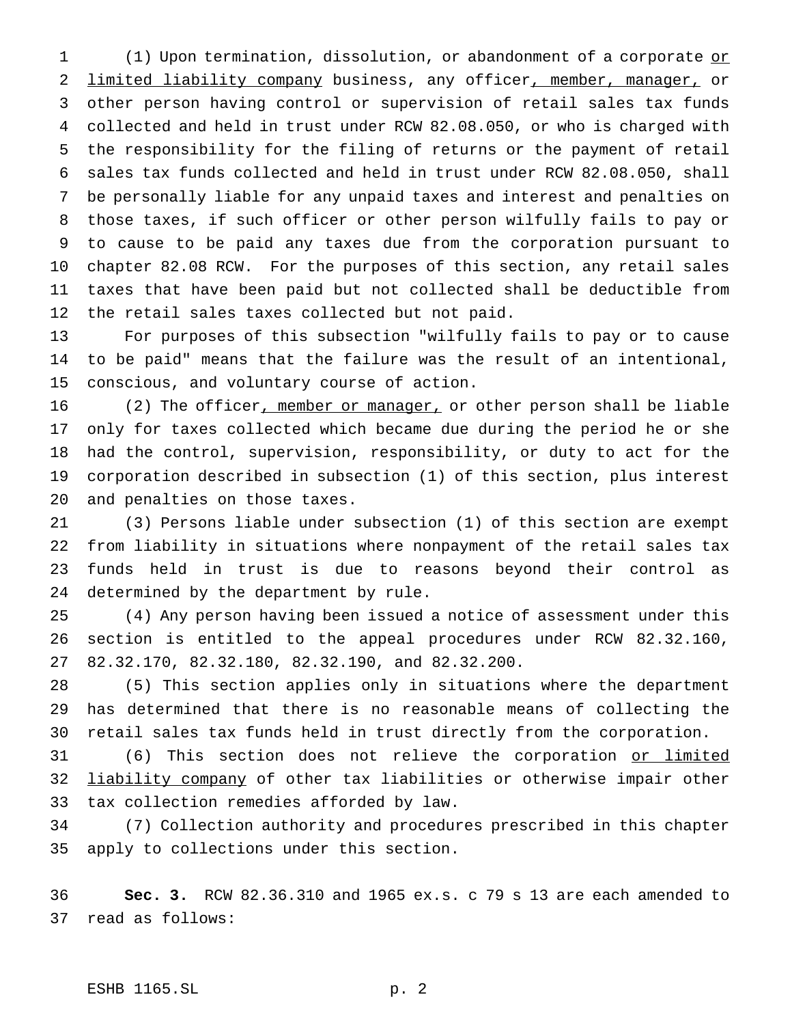1 (1) Upon termination, dissolution, or abandonment of a corporate or 2 limited liability company business, any officer, member, manager, or other person having control or supervision of retail sales tax funds collected and held in trust under RCW 82.08.050, or who is charged with the responsibility for the filing of returns or the payment of retail sales tax funds collected and held in trust under RCW 82.08.050, shall be personally liable for any unpaid taxes and interest and penalties on those taxes, if such officer or other person wilfully fails to pay or to cause to be paid any taxes due from the corporation pursuant to chapter 82.08 RCW. For the purposes of this section, any retail sales taxes that have been paid but not collected shall be deductible from the retail sales taxes collected but not paid.

 For purposes of this subsection "wilfully fails to pay or to cause to be paid" means that the failure was the result of an intentional, conscious, and voluntary course of action.

16 (2) The officer, member or manager, or other person shall be liable only for taxes collected which became due during the period he or she had the control, supervision, responsibility, or duty to act for the corporation described in subsection (1) of this section, plus interest and penalties on those taxes.

 (3) Persons liable under subsection (1) of this section are exempt from liability in situations where nonpayment of the retail sales tax funds held in trust is due to reasons beyond their control as determined by the department by rule.

 (4) Any person having been issued a notice of assessment under this section is entitled to the appeal procedures under RCW 82.32.160, 82.32.170, 82.32.180, 82.32.190, and 82.32.200.

 (5) This section applies only in situations where the department has determined that there is no reasonable means of collecting the retail sales tax funds held in trust directly from the corporation.

31 (6) This section does not relieve the corporation or limited liability company of other tax liabilities or otherwise impair other tax collection remedies afforded by law.

 (7) Collection authority and procedures prescribed in this chapter apply to collections under this section.

 **Sec. 3.** RCW 82.36.310 and 1965 ex.s. c 79 s 13 are each amended to read as follows:

## ESHB 1165.SL p. 2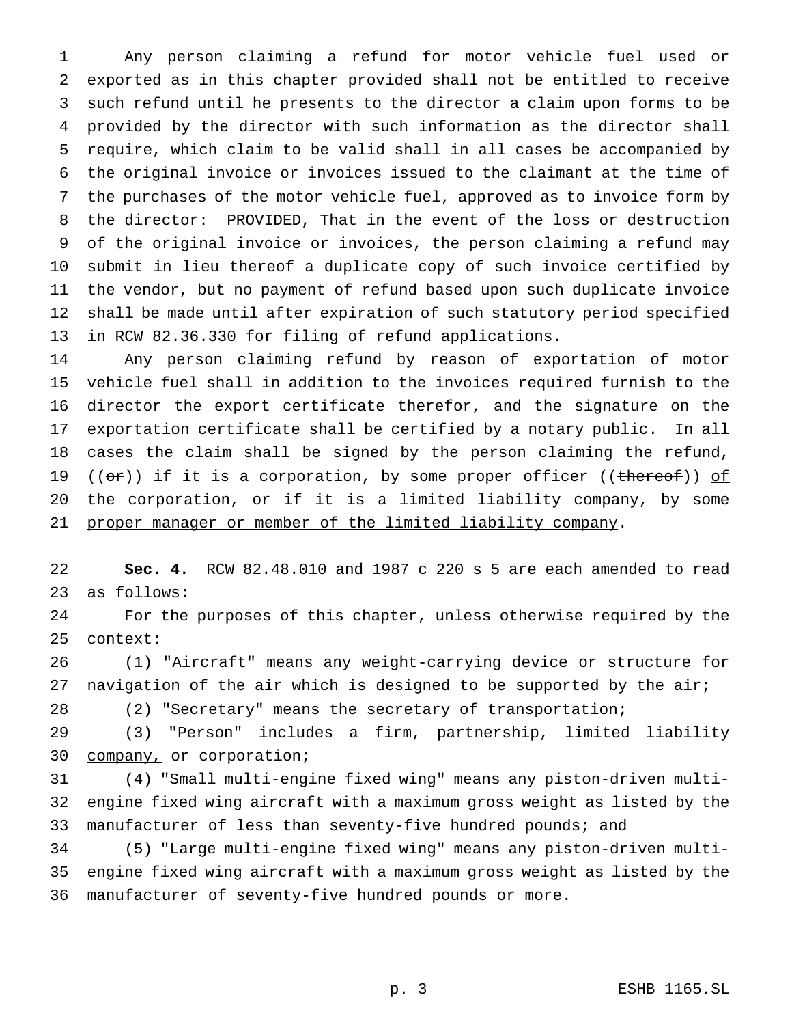Any person claiming a refund for motor vehicle fuel used or exported as in this chapter provided shall not be entitled to receive such refund until he presents to the director a claim upon forms to be provided by the director with such information as the director shall require, which claim to be valid shall in all cases be accompanied by the original invoice or invoices issued to the claimant at the time of the purchases of the motor vehicle fuel, approved as to invoice form by the director: PROVIDED, That in the event of the loss or destruction of the original invoice or invoices, the person claiming a refund may submit in lieu thereof a duplicate copy of such invoice certified by the vendor, but no payment of refund based upon such duplicate invoice shall be made until after expiration of such statutory period specified in RCW 82.36.330 for filing of refund applications.

 Any person claiming refund by reason of exportation of motor vehicle fuel shall in addition to the invoices required furnish to the director the export certificate therefor, and the signature on the exportation certificate shall be certified by a notary public. In all cases the claim shall be signed by the person claiming the refund, 19 ( $(\sigma$ r)) if it is a corporation, by some proper officer ((thereof)) of the corporation, or if it is a limited liability company, by some 21 proper manager or member of the limited liability company.

 **Sec. 4.** RCW 82.48.010 and 1987 c 220 s 5 are each amended to read as follows:

 For the purposes of this chapter, unless otherwise required by the context:

 (1) "Aircraft" means any weight-carrying device or structure for 27 navigation of the air which is designed to be supported by the air;

(2) "Secretary" means the secretary of transportation;

29 (3) "Person" includes a firm, partnership, limited liability company, or corporation;

 (4) "Small multi-engine fixed wing" means any piston-driven multi- engine fixed wing aircraft with a maximum gross weight as listed by the 33 manufacturer of less than seventy-five hundred pounds; and

 (5) "Large multi-engine fixed wing" means any piston-driven multi- engine fixed wing aircraft with a maximum gross weight as listed by the manufacturer of seventy-five hundred pounds or more.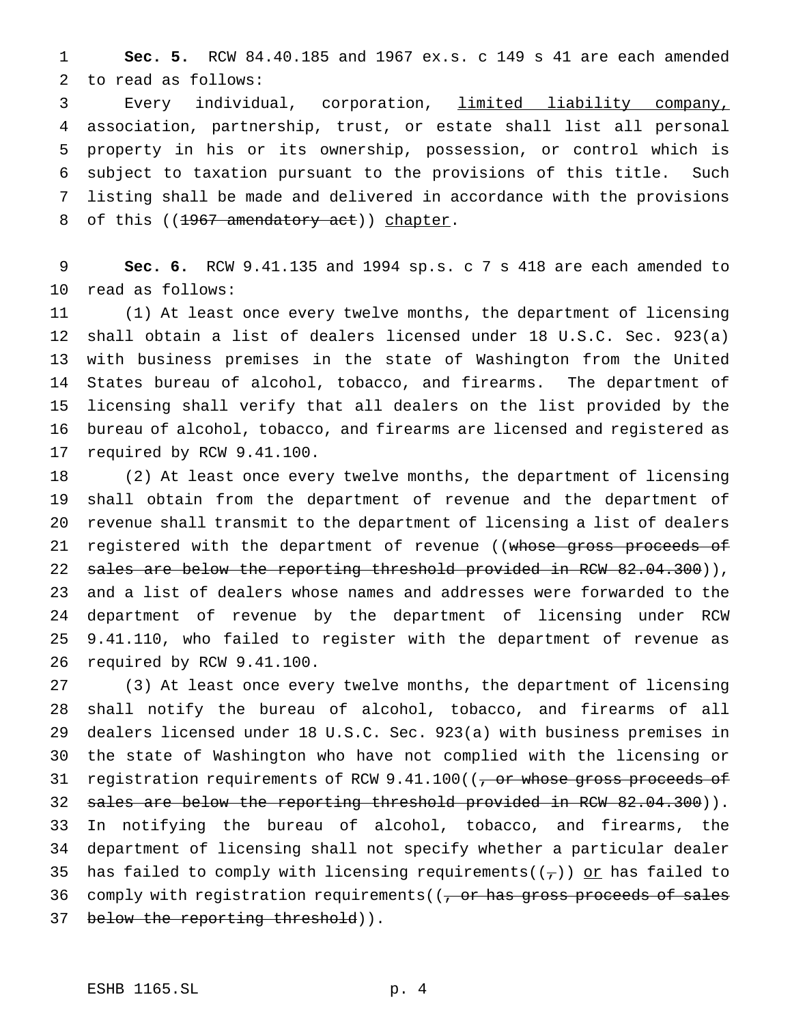**Sec. 5.** RCW 84.40.185 and 1967 ex.s. c 149 s 41 are each amended to read as follows:

 Every individual, corporation, limited liability company, association, partnership, trust, or estate shall list all personal property in his or its ownership, possession, or control which is subject to taxation pursuant to the provisions of this title. Such listing shall be made and delivered in accordance with the provisions 8 of this ((1967 amendatory act)) chapter.

 **Sec. 6.** RCW 9.41.135 and 1994 sp.s. c 7 s 418 are each amended to read as follows:

 (1) At least once every twelve months, the department of licensing shall obtain a list of dealers licensed under 18 U.S.C. Sec. 923(a) with business premises in the state of Washington from the United States bureau of alcohol, tobacco, and firearms. The department of licensing shall verify that all dealers on the list provided by the bureau of alcohol, tobacco, and firearms are licensed and registered as required by RCW 9.41.100.

 (2) At least once every twelve months, the department of licensing shall obtain from the department of revenue and the department of revenue shall transmit to the department of licensing a list of dealers 21 registered with the department of revenue ((whose gross proceeds of 22 sales are below the reporting threshold provided in RCW 82.04.300)), and a list of dealers whose names and addresses were forwarded to the department of revenue by the department of licensing under RCW 9.41.110, who failed to register with the department of revenue as required by RCW 9.41.100.

 (3) At least once every twelve months, the department of licensing shall notify the bureau of alcohol, tobacco, and firearms of all dealers licensed under 18 U.S.C. Sec. 923(a) with business premises in the state of Washington who have not complied with the licensing or 31 registration requirements of RCW 9.41.100((, or whose gross proceeds of 32 sales are below the reporting threshold provided in RCW 82.04.300)). In notifying the bureau of alcohol, tobacco, and firearms, the department of licensing shall not specify whether a particular dealer 35 has failed to comply with licensing requirements( $(\tau)$ ) or has failed to 36 comply with registration requirements( $(7 - 0r$  has gross proceeds of sales 37 below the reporting threshold)).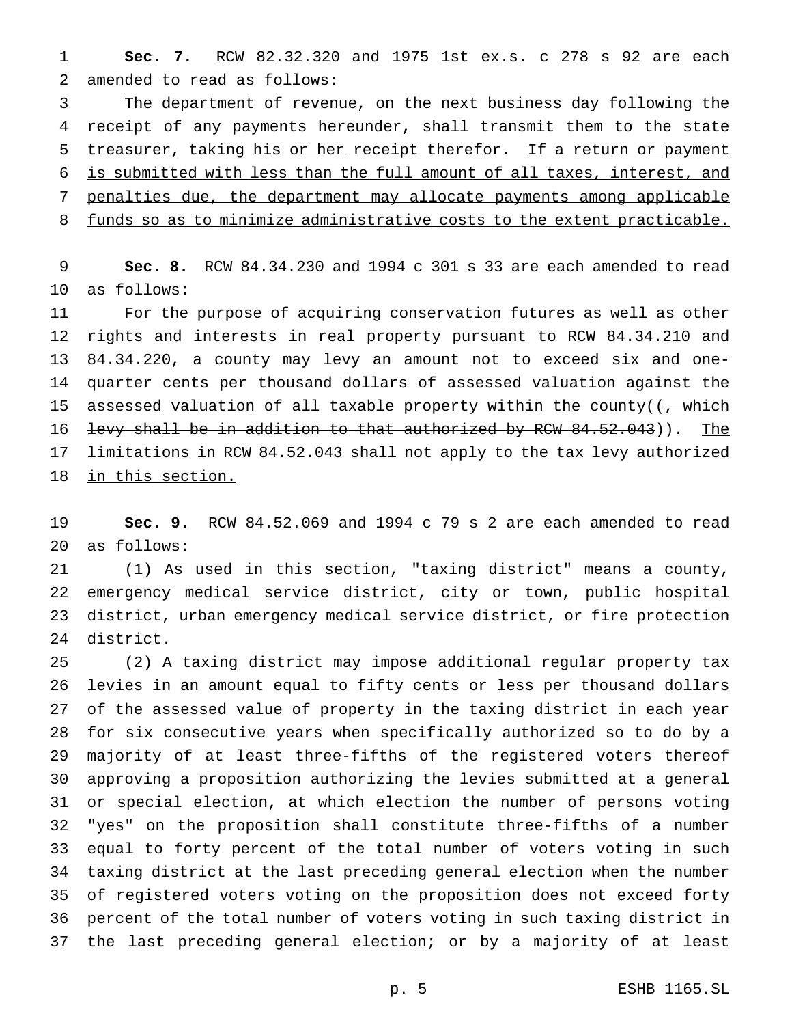**Sec. 7.** RCW 82.32.320 and 1975 1st ex.s. c 278 s 92 are each amended to read as follows:

 The department of revenue, on the next business day following the receipt of any payments hereunder, shall transmit them to the state 5 treasurer, taking his or her receipt therefor. If a return or payment is submitted with less than the full amount of all taxes, interest, and penalties due, the department may allocate payments among applicable 8 funds so as to minimize administrative costs to the extent practicable.

 **Sec. 8.** RCW 84.34.230 and 1994 c 301 s 33 are each amended to read as follows:

 For the purpose of acquiring conservation futures as well as other rights and interests in real property pursuant to RCW 84.34.210 and 84.34.220, a county may levy an amount not to exceed six and one- quarter cents per thousand dollars of assessed valuation against the 15 assessed valuation of all taxable property within the county( $\frac{1}{1 + \frac{1}{2}}$ 16 levy shall be in addition to that authorized by RCW 84.52.043)). The 17 limitations in RCW 84.52.043 shall not apply to the tax levy authorized 18 in this section.

 **Sec. 9.** RCW 84.52.069 and 1994 c 79 s 2 are each amended to read as follows:

 (1) As used in this section, "taxing district" means a county, emergency medical service district, city or town, public hospital district, urban emergency medical service district, or fire protection district.

 (2) A taxing district may impose additional regular property tax levies in an amount equal to fifty cents or less per thousand dollars of the assessed value of property in the taxing district in each year for six consecutive years when specifically authorized so to do by a majority of at least three-fifths of the registered voters thereof approving a proposition authorizing the levies submitted at a general or special election, at which election the number of persons voting "yes" on the proposition shall constitute three-fifths of a number equal to forty percent of the total number of voters voting in such taxing district at the last preceding general election when the number of registered voters voting on the proposition does not exceed forty percent of the total number of voters voting in such taxing district in the last preceding general election; or by a majority of at least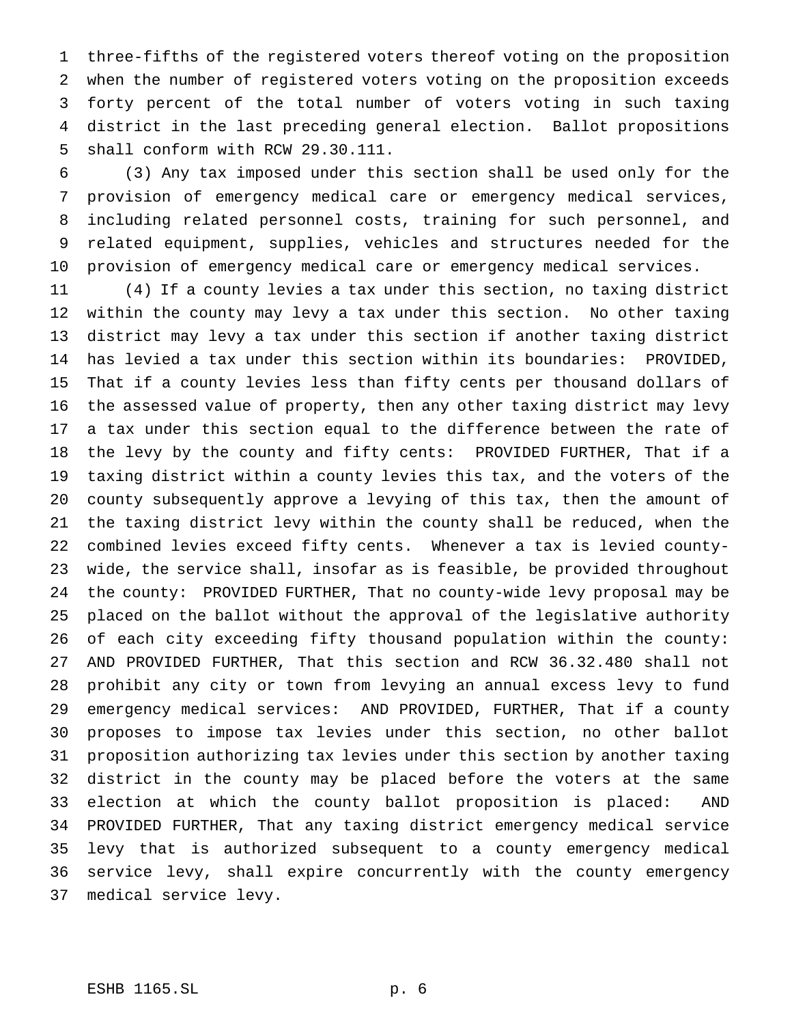three-fifths of the registered voters thereof voting on the proposition when the number of registered voters voting on the proposition exceeds forty percent of the total number of voters voting in such taxing district in the last preceding general election. Ballot propositions shall conform with RCW 29.30.111.

 (3) Any tax imposed under this section shall be used only for the provision of emergency medical care or emergency medical services, including related personnel costs, training for such personnel, and related equipment, supplies, vehicles and structures needed for the provision of emergency medical care or emergency medical services.

 (4) If a county levies a tax under this section, no taxing district within the county may levy a tax under this section. No other taxing district may levy a tax under this section if another taxing district has levied a tax under this section within its boundaries: PROVIDED, That if a county levies less than fifty cents per thousand dollars of the assessed value of property, then any other taxing district may levy a tax under this section equal to the difference between the rate of the levy by the county and fifty cents: PROVIDED FURTHER, That if a taxing district within a county levies this tax, and the voters of the county subsequently approve a levying of this tax, then the amount of the taxing district levy within the county shall be reduced, when the combined levies exceed fifty cents. Whenever a tax is levied county- wide, the service shall, insofar as is feasible, be provided throughout the county: PROVIDED FURTHER, That no county-wide levy proposal may be placed on the ballot without the approval of the legislative authority of each city exceeding fifty thousand population within the county: AND PROVIDED FURTHER, That this section and RCW 36.32.480 shall not prohibit any city or town from levying an annual excess levy to fund emergency medical services: AND PROVIDED, FURTHER, That if a county proposes to impose tax levies under this section, no other ballot proposition authorizing tax levies under this section by another taxing district in the county may be placed before the voters at the same election at which the county ballot proposition is placed: AND PROVIDED FURTHER, That any taxing district emergency medical service levy that is authorized subsequent to a county emergency medical service levy, shall expire concurrently with the county emergency medical service levy.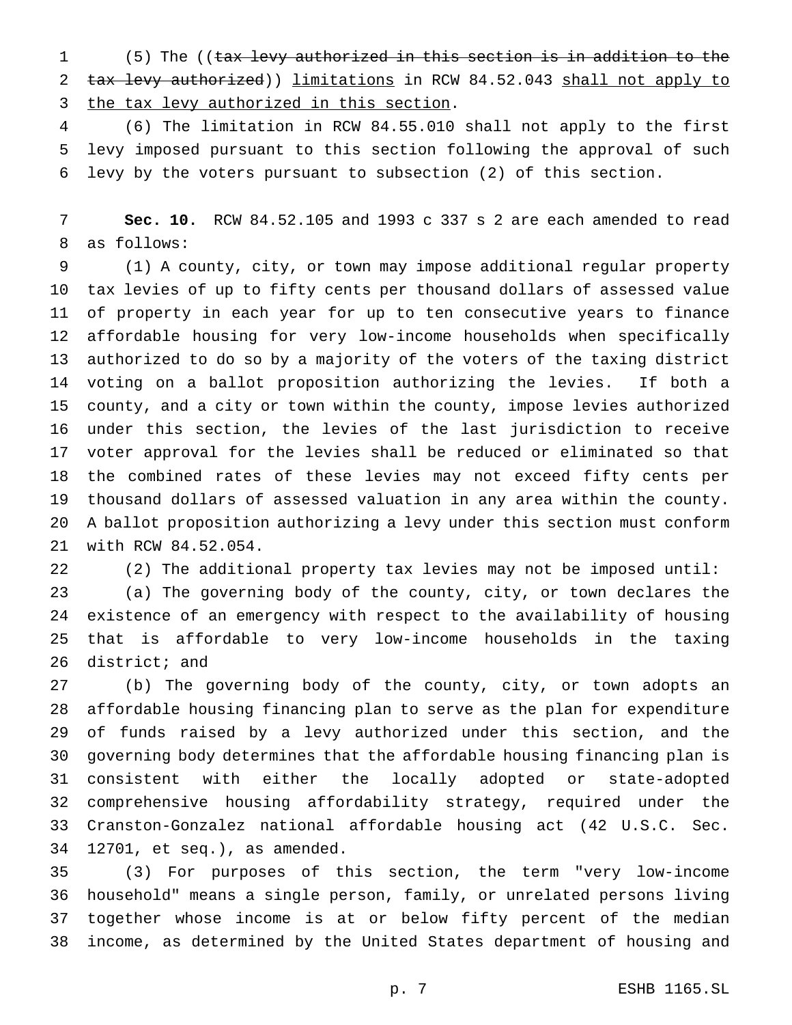(5) The ((tax levy authorized in this section is in addition to the 2 tax levy authorized)) limitations in RCW 84.52.043 shall not apply to 3 the tax levy authorized in this section.

 (6) The limitation in RCW 84.55.010 shall not apply to the first levy imposed pursuant to this section following the approval of such levy by the voters pursuant to subsection (2) of this section.

 **Sec. 10.** RCW 84.52.105 and 1993 c 337 s 2 are each amended to read as follows:

 (1) A county, city, or town may impose additional regular property tax levies of up to fifty cents per thousand dollars of assessed value of property in each year for up to ten consecutive years to finance affordable housing for very low-income households when specifically authorized to do so by a majority of the voters of the taxing district voting on a ballot proposition authorizing the levies. If both a county, and a city or town within the county, impose levies authorized under this section, the levies of the last jurisdiction to receive voter approval for the levies shall be reduced or eliminated so that the combined rates of these levies may not exceed fifty cents per thousand dollars of assessed valuation in any area within the county. A ballot proposition authorizing a levy under this section must conform with RCW 84.52.054.

 (2) The additional property tax levies may not be imposed until: (a) The governing body of the county, city, or town declares the existence of an emergency with respect to the availability of housing that is affordable to very low-income households in the taxing district; and

 (b) The governing body of the county, city, or town adopts an affordable housing financing plan to serve as the plan for expenditure of funds raised by a levy authorized under this section, and the governing body determines that the affordable housing financing plan is consistent with either the locally adopted or state-adopted comprehensive housing affordability strategy, required under the Cranston-Gonzalez national affordable housing act (42 U.S.C. Sec. 12701, et seq.), as amended.

 (3) For purposes of this section, the term "very low-income household" means a single person, family, or unrelated persons living together whose income is at or below fifty percent of the median income, as determined by the United States department of housing and